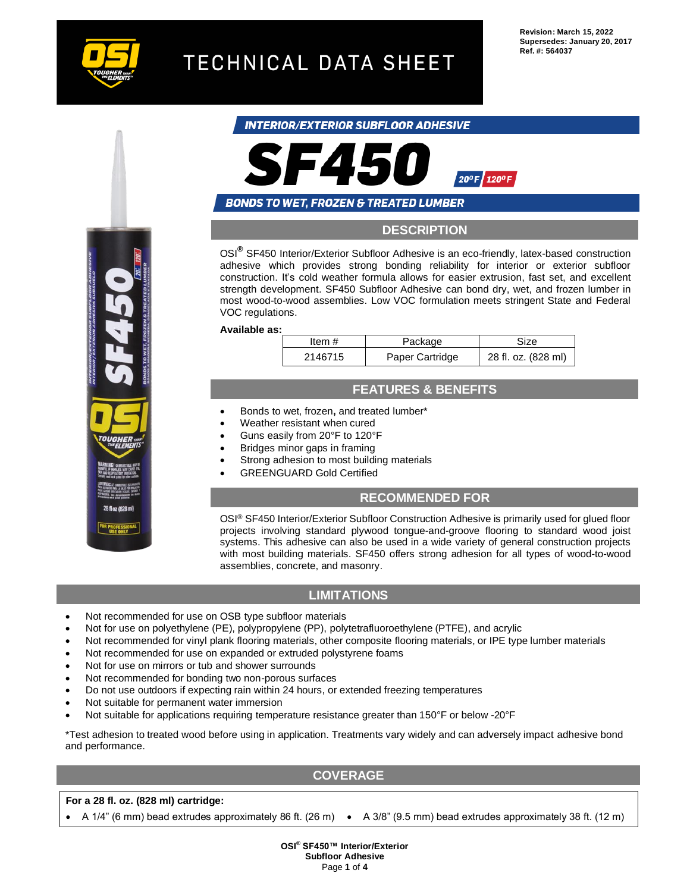

# TECHNICAL DATA SHEET

**Revision: March 15, 2022 Supersedes: January 20, 2017 Ref. #: 564037**

## INTERIOR/EXTERIOR SUBFLOOR ADHESIVE



## **BONDS TO WET, FROZEN & TREATED LUMBER**

## **DESCRIPTION**

OSI**®** SF450 Interior/Exterior Subfloor Adhesive is an eco-friendly, latex-based construction adhesive which provides strong bonding reliability for interior or exterior subfloor construction. It's cold weather formula allows for easier extrusion, fast set, and excellent strength development. SF450 Subfloor Adhesive can bond dry, wet, and frozen lumber in most wood-to-wood assemblies. Low VOC formulation meets stringent State and Federal VOC regulations.

**Available as:**

| Item #  | Package         | Size                |
|---------|-----------------|---------------------|
| 2146715 | Paper Cartridge | 28 fl. oz. (828 ml) |

## **FEATURES & BENEFITS**

- Bonds to wet, frozen**,** and treated lumber\*
- Weather resistant when cured
- Guns easily from 20°F to 120°F
- Bridges minor gaps in framing
- Strong adhesion to most building materials
- GREENGUARD Gold Certified

## **RECOMMENDED FOR**

OSI® SF450 Interior/Exterior Subfloor Construction Adhesive is primarily used for glued floor projects involving standard plywood tongue-and-groove flooring to standard wood joist systems. This adhesive can also be used in a wide variety of general construction projects with most building materials. SF450 offers strong adhesion for all types of wood-to-wood assemblies, concrete, and masonry.

## **LIMITATIONS**

- Not recommended for use on OSB type subfloor materials
- Not for use on polyethylene (PE), polypropylene (PP), polytetrafluoroethylene (PTFE), and acrylic
- Not recommended for vinyl plank flooring materials, other composite flooring materials, or IPE type lumber materials
- Not recommended for use on expanded or extruded polystyrene foams
- Not for use on mirrors or tub and shower surrounds
- Not recommended for bonding two non-porous surfaces
- Do not use outdoors if expecting rain within 24 hours, or extended freezing temperatures
- Not suitable for permanent water immersion
- Not suitable for applications requiring temperature resistance greater than 150°F or below -20°F

\*Test adhesion to treated wood before using in application. Treatments vary widely and can adversely impact adhesive bond and performance.

## **COVERAGE**

#### **For a 28 fl. oz. (828 ml) cartridge:**

• A 1/4" (6 mm) bead extrudes approximately 86 ft. (26 m) • A 3/8" (9.5 mm) bead extrudes approximately 38 ft. (12 m)



**OSI® SF450™ Interior/Exterior Subfloor Adhesive** Page **1** of **4**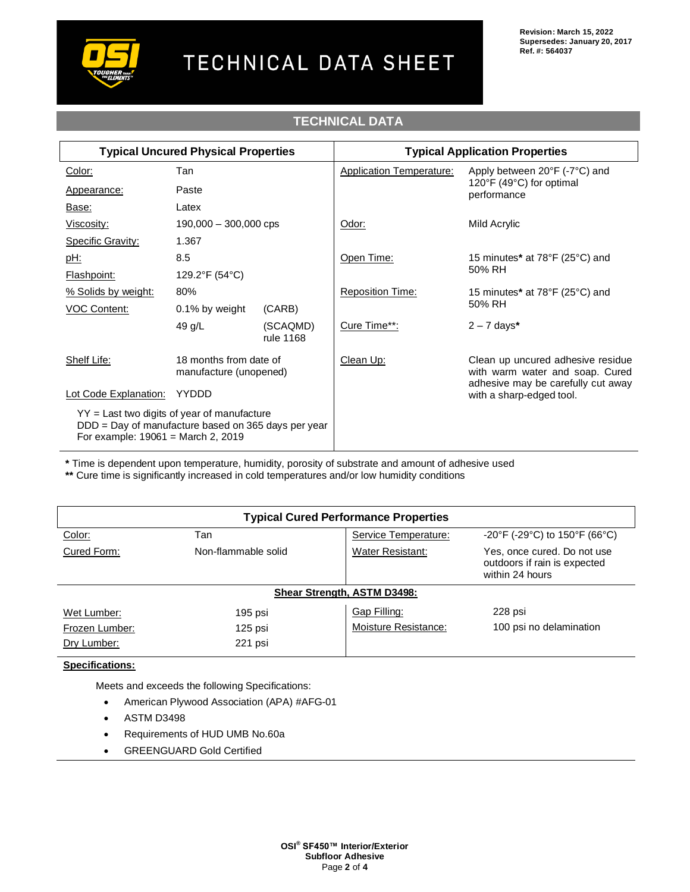

# **TECHNICAL DATA**

| <b>Typical Uncured Physical Properties</b>                                                                                                   |                                                  | <b>Typical Application Properties</b> |                                 |                                                                                                                                        |
|----------------------------------------------------------------------------------------------------------------------------------------------|--------------------------------------------------|---------------------------------------|---------------------------------|----------------------------------------------------------------------------------------------------------------------------------------|
| Color:                                                                                                                                       | Tan                                              |                                       | <b>Application Temperature:</b> | Apply between 20°F (-7°C) and                                                                                                          |
| Appearance:                                                                                                                                  | Paste                                            |                                       |                                 | 120°F (49°C) for optimal<br>performance                                                                                                |
| Base:                                                                                                                                        | Latex                                            |                                       |                                 |                                                                                                                                        |
| Viscosity:                                                                                                                                   | $190,000 - 300,000$ cps                          |                                       | Odor:                           | Mild Acrylic                                                                                                                           |
| <b>Specific Gravity:</b>                                                                                                                     | 1.367                                            |                                       |                                 |                                                                                                                                        |
| <u>pH:</u>                                                                                                                                   | 8.5                                              |                                       | Open Time:                      | 15 minutes* at 78°F (25°C) and<br>50% RH                                                                                               |
| Flashpoint:                                                                                                                                  | 129.2°F (54°C)                                   |                                       |                                 |                                                                                                                                        |
| % Solids by weight:                                                                                                                          | 80%                                              |                                       | <b>Reposition Time:</b>         | 15 minutes* at 78°F (25°C) and                                                                                                         |
| VOC Content:                                                                                                                                 | $0.1\%$ by weight                                | (CARB)                                | 50% RH                          |                                                                                                                                        |
|                                                                                                                                              | 49 g/L                                           | (SCAQMD)<br>rule 1168                 | Cure Time**:                    | $2 - 7$ days*                                                                                                                          |
| Shelf Life:                                                                                                                                  | 18 months from date of<br>manufacture (unopened) |                                       | Clean Up:                       | Clean up uncured adhesive residue<br>with warm water and soap. Cured<br>adhesive may be carefully cut away<br>with a sharp-edged tool. |
| Lot Code Explanation:                                                                                                                        | YYDDD                                            |                                       |                                 |                                                                                                                                        |
| $YY =$ Last two digits of year of manufacture<br>DDD = Day of manufacture based on 365 days per year<br>For example: $19061$ = March 2, 2019 |                                                  |                                       |                                 |                                                                                                                                        |

**\*** Time is dependent upon temperature, humidity, porosity of substrate and amount of adhesive used

**\*\*** Cure time is significantly increased in cold temperatures and/or low humidity conditions

| <b>Typical Cured Performance Properties</b> |                     |                         |                                                                                |  |  |  |
|---------------------------------------------|---------------------|-------------------------|--------------------------------------------------------------------------------|--|--|--|
| Color:                                      | Tan                 | Service Temperature:    | $-20^{\circ}$ F (-29 $^{\circ}$ C) to 150 $^{\circ}$ F (66 $^{\circ}$ C)       |  |  |  |
| Cured Form:                                 | Non-flammable solid | <b>Water Resistant:</b> | Yes, once cured. Do not use<br>outdoors if rain is expected<br>within 24 hours |  |  |  |
| <b>Shear Strength, ASTM D3498:</b>          |                     |                         |                                                                                |  |  |  |
| Wet Lumber:                                 | 195 psi             | Gap Filling:            | 228 psi                                                                        |  |  |  |
| Frozen Lumber:                              | $125$ psi           | Moisture Resistance:    | 100 psi no delamination                                                        |  |  |  |
| Dry Lumber:                                 | 221 psi             |                         |                                                                                |  |  |  |

## **Specifications:**

Meets and exceeds the following Specifications:

- American Plywood Association (APA) #AFG-01
- ASTM D3498
- Requirements of HUD UMB No.60a
- GREENGUARD Gold Certified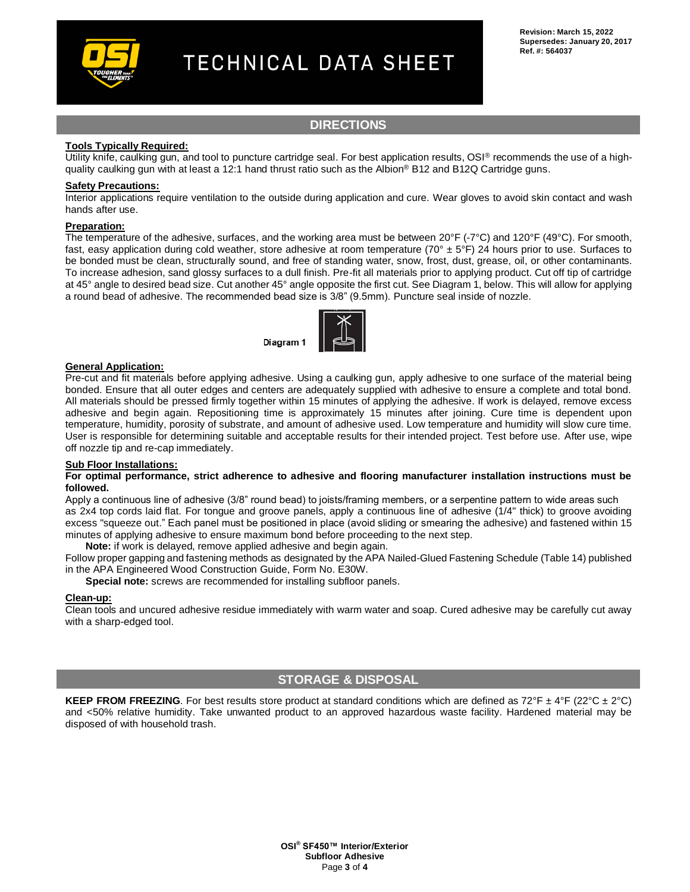

# TECHNICAL DATA SHEET

## **DIRECTIONS**

#### **Tools Typically Required:**

Utility knife, caulking gun, and tool to puncture cartridge seal. For best application results, OSI® recommends the use of a highquality caulking gun with at least a 12:1 hand thrust ratio such as the Albion<sup>®</sup> B12 and B12Q Cartridge guns.

#### **Safety Precautions:**

Interior applications require ventilation to the outside during application and cure. Wear gloves to avoid skin contact and wash hands after use.

#### **Preparation:**

The temperature of the adhesive, surfaces, and the working area must be between 20°F (-7°C) and 120°F (49°C). For smooth, fast, easy application during cold weather, store adhesive at room temperature (70 $\degree$  ± 5 $\degree$ F) 24 hours prior to use. Surfaces to be bonded must be clean, structurally sound, and free of standing water, snow, frost, dust, grease, oil, or other contaminants. To increase adhesion, sand glossy surfaces to a dull finish. Pre-fit all materials prior to applying product. Cut off tip of cartridge at 45° angle to desired bead size. Cut another 45° angle opposite the first cut. See Diagram 1, below. This will allow for applying a round bead of adhesive. The recommended bead size is 3/8" (9.5mm). Puncture seal inside of nozzle.



#### **General Application:**

Pre-cut and fit materials before applying adhesive. Using a caulking gun, apply adhesive to one surface of the material being bonded. Ensure that all outer edges and centers are adequately supplied with adhesive to ensure a complete and total bond. All materials should be pressed firmly together within 15 minutes of applying the adhesive. If work is delayed, remove excess adhesive and begin again. Repositioning time is approximately 15 minutes after joining. Cure time is dependent upon temperature, humidity, porosity of substrate, and amount of adhesive used. Low temperature and humidity will slow cure time. User is responsible for determining suitable and acceptable results for their intended project. Test before use. After use, wipe off nozzle tip and re-cap immediately.

#### **Sub Floor Installations:**

#### **For optimal performance, strict adherence to adhesive and flooring manufacturer installation instructions must be followed.**

Apply a continuous line of adhesive (3/8" round bead) to joists/framing members, or a serpentine pattern to wide areas such as 2x4 top cords laid flat. For tongue and groove panels, apply a continuous line of adhesive (1/4" thick) to groove avoiding excess "squeeze out." Each panel must be positioned in place (avoid sliding or smearing the adhesive) and fastened within 15 minutes of applying adhesive to ensure maximum bond before proceeding to the next step.

**Note:** if work is delayed, remove applied adhesive and begin again.

Follow proper gapping and fastening methods as designated by the APA Nailed-Glued Fastening Schedule (Table 14) published in the APA Engineered Wood Construction Guide, Form No. E30W.

**Special note:** screws are recommended for installing subfloor panels.

#### **Clean-up:**

Clean tools and uncured adhesive residue immediately with warm water and soap. Cured adhesive may be carefully cut away with a sharp-edged tool.

## **STORAGE & DISPOSAL**

**KEEP FROM FREEZING**. For best results store product at standard conditions which are defined as  $72^{\circ}F \pm 4^{\circ}F$  (22°C  $\pm 2^{\circ}C$ ) and <50% relative humidity. Take unwanted product to an approved hazardous waste facility. Hardened material may be disposed of with household trash.